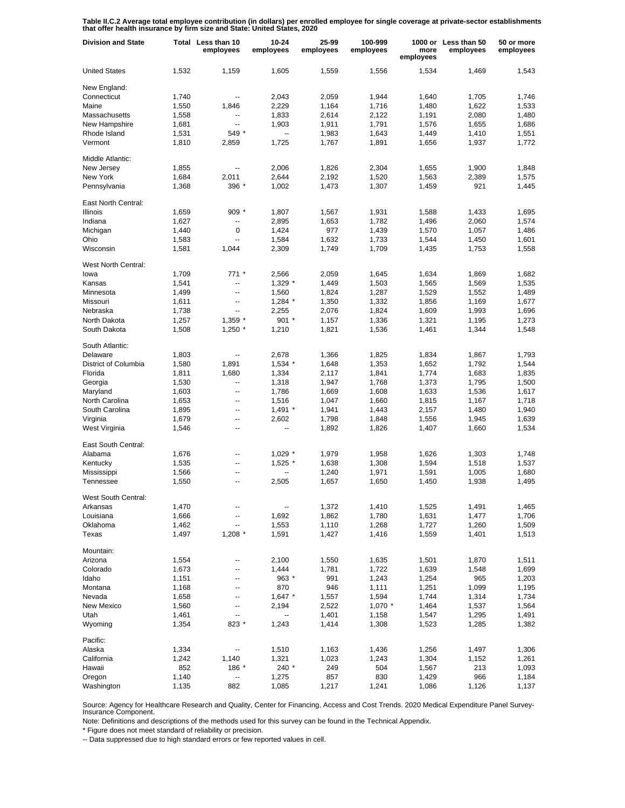**Table II.C.2 Average total employee contribution (in dollars) per enrolled employee for single coverage at private-sector establishments that offer health insurance by firm size and State: United States, 2020**

| <b>Division and State</b>  |       | Total Less than 10<br>employees | 10-24<br>employees       | 25-99<br>employees | 100-999<br>employees | more<br>employees | 1000 or Less than 50<br>employees | 50 or more<br>employees |
|----------------------------|-------|---------------------------------|--------------------------|--------------------|----------------------|-------------------|-----------------------------------|-------------------------|
| <b>United States</b>       | 1,532 | 1,159                           | 1,605                    | 1,559              | 1,556                | 1,534             | 1,469                             | 1,543                   |
| New England:               |       |                                 |                          |                    |                      |                   |                                   |                         |
| Connecticut                | 1,740 | $\overline{\phantom{a}}$        | 2,043                    | 2,059              | 1,944                | 1,640             | 1,705                             | 1,746                   |
| Maine                      | 1,550 | 1,846                           | 2,229                    | 1,164              | 1,716                | 1,480             | 1,622                             | 1,533                   |
| Massachusetts              | 1,558 | $\overline{a}$                  | 1,833                    | 2,614              | 2,122                | 1,191             | 2,080                             | 1,480                   |
| New Hampshire              | 1,681 | $\overline{a}$                  | 1,903                    | 1,911              | 1,791                | 1,576             | 1,655                             | 1,686                   |
| Rhode Island               | 1,531 | 549 *                           | $\overline{\phantom{a}}$ | 1,983              | 1,643                | 1,449             | 1,410                             | 1,551                   |
| Vermont                    | 1,810 | 2,859                           | 1,725                    | 1,767              | 1,891                | 1,656             | 1,937                             | 1,772                   |
| Middle Atlantic:           |       |                                 |                          |                    |                      |                   |                                   |                         |
| New Jersey                 | 1,855 | $\overline{\phantom{a}}$        | 2,006                    | 1,826              | 2,304                | 1,655             | 1,900                             | 1,848                   |
| New York                   | 1,684 | 2,011                           | 2,644                    | 2,192              | 1,520                | 1,563             | 2,389                             | 1,575                   |
| Pennsylvania               | 1,368 | 396 *                           | 1,002                    | 1,473              | 1,307                | 1,459             | 921                               | 1,445                   |
| East North Central:        |       |                                 |                          |                    |                      |                   |                                   |                         |
| <b>Illinois</b>            | 1,659 | $909*$                          | 1,807                    | 1,567              | 1,931                | 1,588             | 1,433                             | 1,695                   |
| Indiana                    | 1,627 | --                              | 2,895                    | 1,653              | 1,782                | 1,496             | 2,060                             | 1,574                   |
| Michigan                   | 1,440 | 0                               | 1,424                    | 977                | 1,439                | 1,570             | 1,057                             | 1,486                   |
| Ohio                       | 1,583 | Ξ.                              | 1,584                    | 1,632              | 1,733                | 1,544             | 1,450                             | 1,601                   |
| Wisconsin                  | 1,581 | 1,044                           | 2,309                    | 1,749              | 1,709                | 1,435             | 1,753                             | 1,558                   |
|                            |       |                                 |                          |                    |                      |                   |                                   |                         |
| <b>West North Central:</b> |       |                                 |                          |                    |                      |                   |                                   |                         |
| lowa                       | 1,709 | $771*$                          | 2,566                    | 2,059              | 1,645                | 1,634             | 1,869                             | 1,682                   |
| Kansas                     | 1,541 | --                              | 1,329 *                  | 1,449              | 1,503                | 1,565             | 1,569                             | 1,535                   |
| Minnesota                  | 1,499 | $\overline{\phantom{a}}$        | 1,560                    | 1,824              | 1,287                | 1,529             | 1,552                             | 1,489                   |
| Missouri                   | 1,611 | $\overline{a}$                  | $1,284$ *                | 1,350              | 1,332                | 1,856             | 1,169                             | 1,677                   |
| Nebraska                   | 1,738 | $\overline{\phantom{a}}$        | 2,255                    | 2,076              | 1,824                | 1,609             | 1,993                             | 1,696                   |
| North Dakota               | 1,257 | $1,359$ *                       | 901 *                    | 1,157              | 1,336                | 1,321             | 1,195                             | 1,273                   |
| South Dakota               | 1,508 | $1,250$ *                       | 1,210                    | 1,821              | 1,536                | 1,461             | 1,344                             | 1,548                   |
| South Atlantic:            |       |                                 |                          |                    |                      |                   |                                   |                         |
| Delaware                   | 1,803 | --                              | 2,678                    | 1,366              | 1,825                | 1,834             | 1,867                             | 1,793                   |
| District of Columbia       | 1,580 | 1,891                           | $1,534$ *                | 1,648              | 1,353                | 1,652             | 1,792                             | 1,544                   |
| Florida                    | 1,811 | 1,680                           | 1,334                    | 2,117              | 1,841                | 1,774             | 1,683                             | 1,835                   |
| Georgia                    | 1,530 | --                              | 1,318                    | 1,947              | 1,768                | 1,373             | 1,795                             | 1,500                   |
| Maryland                   |       | --                              | 1,786                    |                    | 1,608                | 1,633             | 1,536                             | 1,617                   |
|                            | 1,603 |                                 |                          | 1,669              |                      |                   |                                   |                         |
| North Carolina             | 1,653 | --                              | 1,516                    | 1,047              | 1,660                | 1,815             | 1,167                             | 1,718                   |
| South Carolina             | 1,895 | --                              | $1,491$ *                | 1,941              | 1,443                | 2,157             | 1,480                             | 1,940                   |
| Virginia                   | 1,679 | --                              | 2,602                    | 1,798              | 1,848                | 1,556             | 1,945                             | 1,639                   |
| West Virginia              | 1,546 | --                              | --                       | 1,892              | 1,826                | 1,407             | 1,660                             | 1,534                   |
| East South Central:        |       |                                 |                          |                    |                      |                   |                                   |                         |
| Alabama                    | 1,676 | $\overline{\phantom{a}}$        | $1,029$ *                | 1,979              | 1,958                | 1.626             | 1,303                             | 1.748                   |
| Kentucky                   | 1,535 | --                              | $1,525$ *                | 1,638              | 1,308                | 1,594             | 1,518                             | 1,537                   |
| Mississippi                | 1,566 | --                              |                          | 1,240              | 1,971                | 1,591             | 1,005                             | 1,680                   |
| Tennessee                  | 1,550 | --                              | 2,505                    | 1,657              | 1,650                | 1,450             | 1,938                             | 1,495                   |
| West South Central:        |       |                                 |                          |                    |                      |                   |                                   |                         |
| Arkansas                   | 1,470 | --                              | --                       | 1,372              | 1,410                | 1,525             | 1,491                             | 1,465                   |
| Louisiana                  | 1,666 | --                              | 1,692                    | 1,862              | 1,780                | 1,631             | 1,477                             | 1,706                   |
| Oklahoma                   | 1,462 | ۰.                              | 1,553                    | 1,110              | 1,268                | 1,727             | 1,260                             | 1,509                   |
| Texas                      | 1,497 | $1,208$ *                       | 1,591                    | 1,427              | 1,416                | 1,559             | 1,401                             | 1,513                   |
|                            |       |                                 |                          |                    |                      |                   |                                   |                         |
| Mountain:<br>Arizona       | 1,554 | ۰.                              | 2,100                    | 1,550              | 1,635                | 1,501             | 1,870                             | 1,511                   |
| Colorado                   |       |                                 |                          |                    |                      |                   |                                   |                         |
|                            | 1,673 | --                              | 1,444                    | 1,781              | 1,722                | 1,639             | 1,548                             | 1,699                   |
| Idaho                      | 1,151 | --                              | 963 *                    | 991                | 1,243                | 1,254             | 965                               | 1,203                   |
| Montana                    | 1,168 | --                              | 870                      | 946                | 1,111                | 1,251             | 1,099                             | 1,195                   |
| Nevada                     | 1,658 | --                              | $1,647$ *                | 1,557              | 1,594                | 1,744             | 1,314                             | 1,734                   |
| New Mexico                 | 1,560 | ۰.                              | 2,194                    | 2,522              | $1,070$ *            | 1,464             | 1,537                             | 1,564                   |
| Utah                       | 1,461 | --                              | --                       | 1,401              | 1,158                | 1,547             | 1,295                             | 1,491                   |
| Wyoming                    | 1,354 | 823 *                           | 1,243                    | 1,414              | 1,308                | 1,523             | 1,285                             | 1,382                   |
| Pacific:                   |       |                                 |                          |                    |                      |                   |                                   |                         |
| Alaska                     | 1,334 | --                              | 1,510                    | 1,163              | 1,436                | 1,256             | 1,497                             | 1,306                   |
| California                 | 1,242 | 1,140                           | 1,321                    | 1,023              | 1,243                | 1,304             | 1,152                             | 1,261                   |
| Hawaii                     | 852   | 186 *                           | 240 *                    | 249                | 504                  | 1,567             | 213                               | 1,093                   |
| Oregon                     | 1,140 | ۰.                              | 1,275                    | 857                | 830                  | 1,429             | 966                               | 1,184                   |
| Washington                 | 1,135 | 882                             | 1,085                    | 1,217              | 1,241                | 1,086             | 1,126                             | 1,137                   |

Source: Agency for Healthcare Research and Quality, Center for Financing, Access and Cost Trends. 2020 Medical Expenditure Panel Survey-Insurance Component.

Note: Definitions and descriptions of the methods used for this survey can be found in the Technical Appendix.

\* Figure does not meet standard of reliability or precision.

-- Data suppressed due to high standard errors or few reported values in cell.